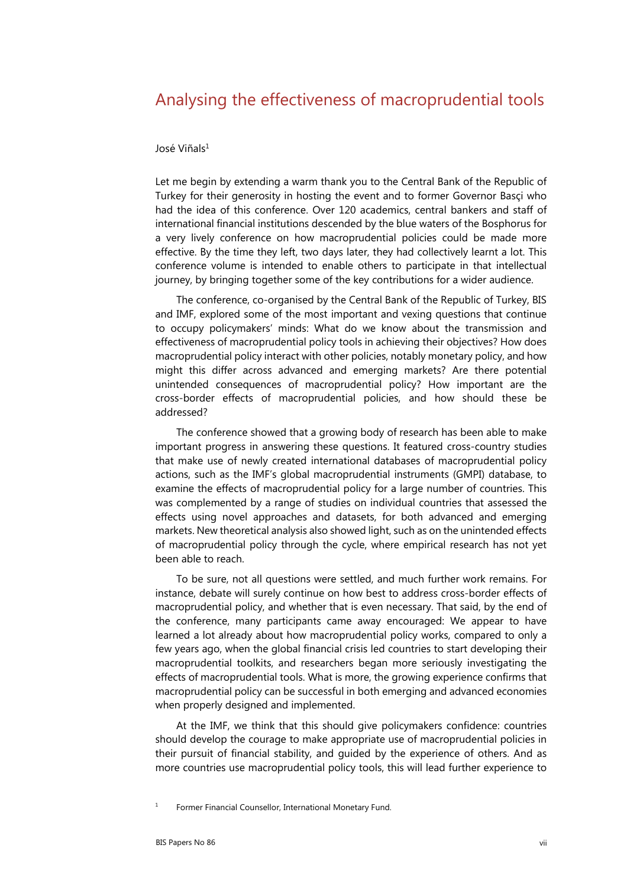## Analysing the effectiveness of macroprudential tools

## José Viñals1

Let me begin by extending a warm thank you to the Central Bank of the Republic of Turkey for their generosity in hosting the event and to former Governor Basçi who had the idea of this conference. Over 120 academics, central bankers and staff of international financial institutions descended by the blue waters of the Bosphorus for a very lively conference on how macroprudential policies could be made more effective. By the time they left, two days later, they had collectively learnt a lot. This conference volume is intended to enable others to participate in that intellectual journey, by bringing together some of the key contributions for a wider audience.

The conference, co-organised by the Central Bank of the Republic of Turkey, BIS and IMF, explored some of the most important and vexing questions that continue to occupy policymakers' minds: What do we know about the transmission and effectiveness of macroprudential policy tools in achieving their objectives? How does macroprudential policy interact with other policies, notably monetary policy, and how might this differ across advanced and emerging markets? Are there potential unintended consequences of macroprudential policy? How important are the cross-border effects of macroprudential policies, and how should these be addressed?

The conference showed that a growing body of research has been able to make important progress in answering these questions. It featured cross-country studies that make use of newly created international databases of macroprudential policy actions, such as the IMF's global macroprudential instruments (GMPI) database, to examine the effects of macroprudential policy for a large number of countries. This was complemented by a range of studies on individual countries that assessed the effects using novel approaches and datasets, for both advanced and emerging markets. New theoretical analysis also showed light, such as on the unintended effects of macroprudential policy through the cycle, where empirical research has not yet been able to reach.

To be sure, not all questions were settled, and much further work remains. For instance, debate will surely continue on how best to address cross-border effects of macroprudential policy, and whether that is even necessary. That said, by the end of the conference, many participants came away encouraged: We appear to have learned a lot already about how macroprudential policy works, compared to only a few years ago, when the global financial crisis led countries to start developing their macroprudential toolkits, and researchers began more seriously investigating the effects of macroprudential tools. What is more, the growing experience confirms that macroprudential policy can be successful in both emerging and advanced economies when properly designed and implemented.

At the IMF, we think that this should give policymakers confidence: countries should develop the courage to make appropriate use of macroprudential policies in their pursuit of financial stability, and guided by the experience of others. And as more countries use macroprudential policy tools, this will lead further experience to

<sup>1</sup> Former Financial Counsellor, International Monetary Fund.